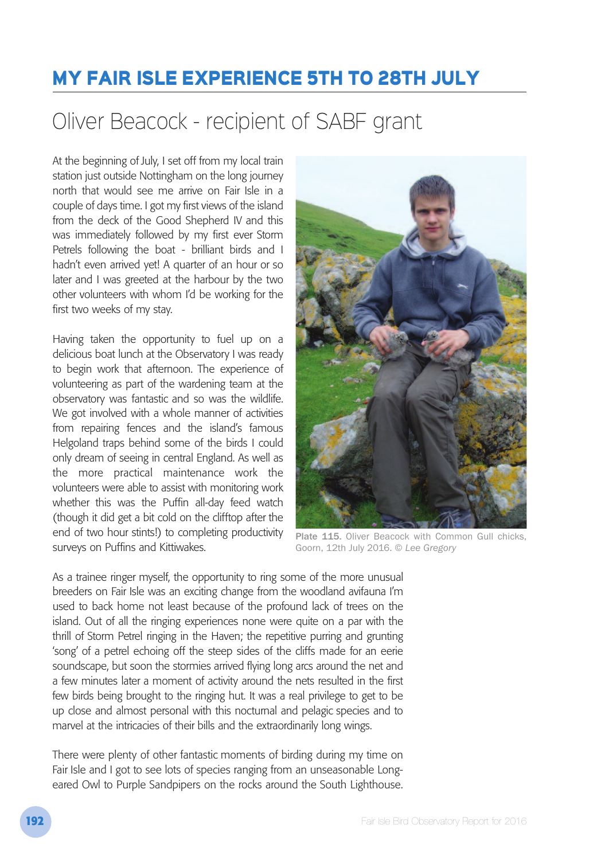## **MY FAIR ISLE EXPERIENCE 5TH TO 28TH JULY**

## Oliver Beacock - recipient of SABF grant

At the beginning of July, I set off from my local train station just outside Nottingham on the long journey north that would see me arrive on Fair Isle in a couple of days time. I got my first views of the island from the deck of the Good Shepherd IV and this was immediately followed by my first ever Storm Petrels following the boat - brilliant birds and I hadn't even arrived yet! A quarter of an hour or so later and I was greeted at the harbour by the two other volunteers with whom I'd be working for the first two weeks of my stay.

Having taken the opportunity to fuel up on a delicious boat lunch at the Observatory I was ready to begin work that afternoon. The experience of volunteering as part of the wardening team at the observatory was fantastic and so was the wildlife. We got involved with a whole manner of activities from repairing fences and the island's famous Helgoland traps behind some of the birds I could only dream of seeing in central England. As well as the more practical maintenance work the volunteers were able to assist with monitoring work whether this was the Puffin all-day feed watch (though it did get a bit cold on the clifftop after the end of two hour stints!) to completing productivity surveys on Puffins and Kittiwakes.



Plate 115. Oliver Beacock with Common Gull chicks, Goorn, 12th July 2016. © *Lee Gregory*

As a trainee ringer myself, the opportunity to ring some of the more unusual breeders on Fair Isle was an exciting change from the woodland avifauna I'm used to back home not least because of the profound lack of trees on the island. Out of all the ringing experiences none were quite on a par with the thrill of Storm Petrel ringing in the Haven; the repetitive purring and grunting 'song' of a petrel echoing off the steep sides of the cliffs made for an eerie soundscape, but soon the stormies arrived flying long arcs around the net and a few minutes later a moment of activity around the nets resulted in the first few birds being brought to the ringing hut. It was a real privilege to get to be up close and almost personal with this nocturnal and pelagic species and to marvel at the intricacies of their bills and the extraordinarily long wings.

There were plenty of other fantastic moments of birding during my time on Fair Isle and I got to see lots of species ranging from an unseasonable Longeared Owl to Purple Sandpipers on the rocks around the South Lighthouse.